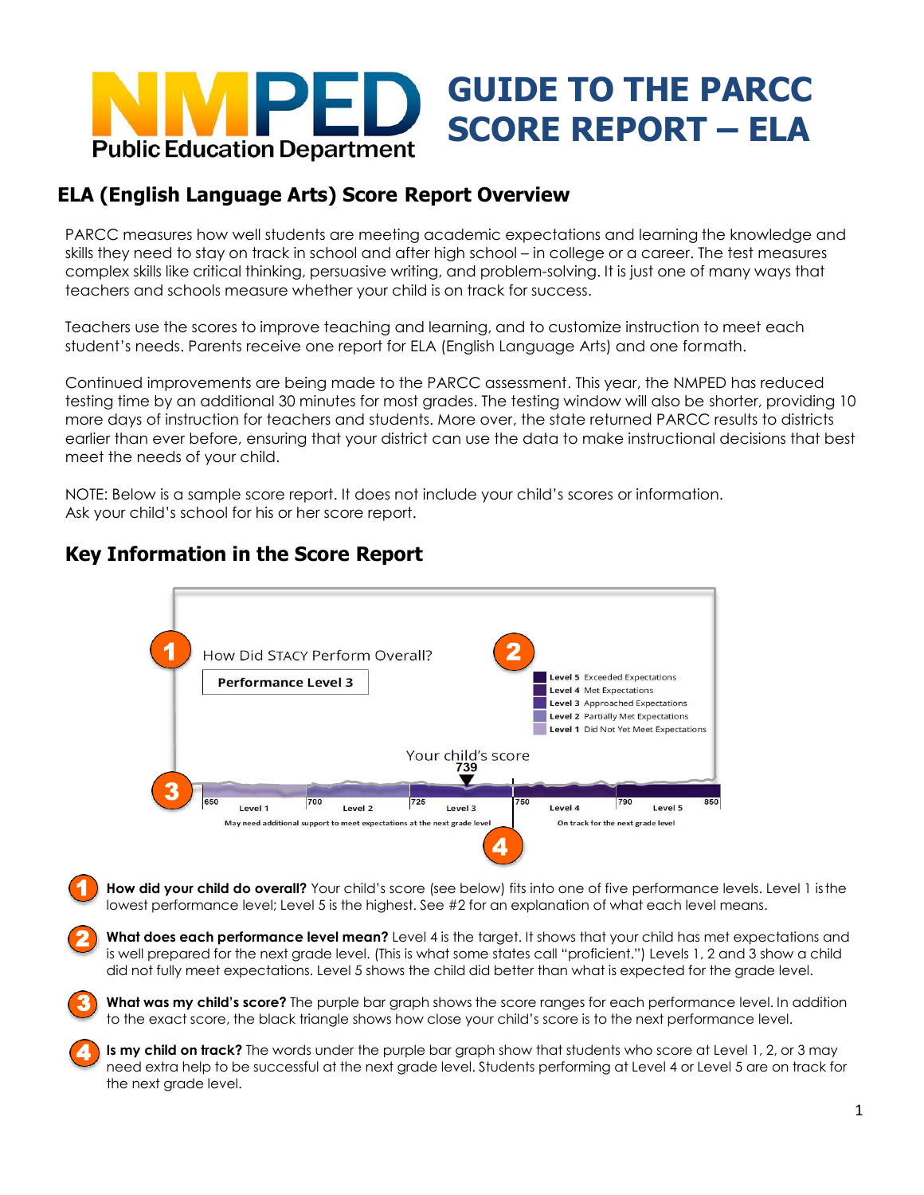

## **ELA (English Language Arts) Score Report Overview**

PARCC measures how well students are meeting academic expectations and learning the knowledge and skills they need to stay on track in school and after high school – in college or a career. The test measures complex skills like critical thinking, persuasive writing, and problem-solving. It is just one of many ways that teachers and schools measure whether your child is on track for success.

Teachers use the scores to improve teaching and learning, and to customize instruction to meet each student's needs. Parents receive one report for ELA (English Language Arts) and one formath.

Continued improvements are being made to the PARCC assessment. This year, the NMPED has reduced testing time by an additional 30 minutes for most grades. The testing window will also be shorter, providing 10 more days of instruction for teachers and students. More over, the state returned PARCC results to districts earlier than ever before, ensuring that your district can use the data to make instructional decisions that best meet the needs of your child.

NOTE: Below is a sample score report. It does not include your child's scores or information. Ask your child's school for his or her score report.



## **Key Information in the Score Report**

2

3

4

How did your child do overall? Your child's score (see below) fits into one of five performance levels. Level 1 is the lowest performance level; Level 5 is the highest. See #2 for an explanation of what each level means. 1

**What does each performance level mean?** Level 4 is the target. It shows that your child has met expectations and is well prepared for the next grade level. (This is what some states call "proficient.") Levels 1, 2 and 3 show a child did not fully meet expectations. Level 5 shows the child did better than what is expected for the grade level.

**What was my child's score?** The purple bar graph shows the score ranges for each performance level. In addition to the exact score, the black triangle shows how close your child's score is to the next performance level.

**Is my child on track?** The words under the purple bar graph show that students who score at Level 1, 2, or 3 may need extra help to be successful at the next grade level. Students performing at Level 4 or Level 5 are on track for the next grade level.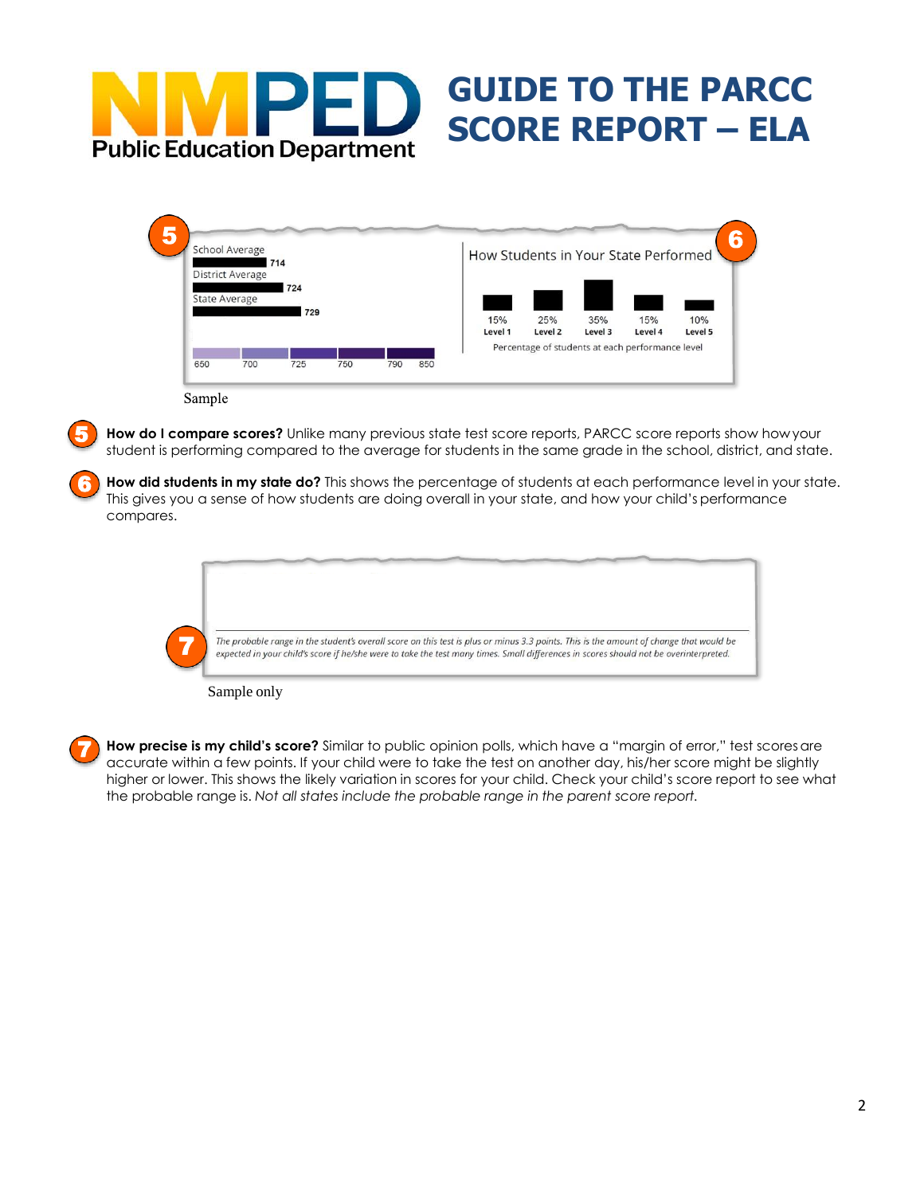# **Particle Institute SCORE REPORT – ELA GUIDE TO THE PARCC**

| School Average<br>714       |                         |     |     |     |     | How Students in Your State Performed |         |         |                                                  |         |
|-----------------------------|-------------------------|-----|-----|-----|-----|--------------------------------------|---------|---------|--------------------------------------------------|---------|
|                             | <b>District Average</b> |     |     |     |     |                                      |         |         |                                                  |         |
|                             |                         | 724 |     |     |     |                                      |         |         |                                                  |         |
| <b>State Average</b><br>729 |                         |     |     |     |     |                                      |         |         |                                                  |         |
|                             |                         |     |     |     |     | 15%                                  | 25%     | 35%     | 15%                                              | 10%     |
|                             |                         |     |     |     |     | Level 1                              | Level 2 | Level 3 | Level 4                                          | Level 5 |
|                             |                         |     |     |     |     |                                      |         |         | Percentage of students at each performance level |         |
| 650                         | 700                     | 725 | 750 | 790 | 850 |                                      |         |         |                                                  |         |

5

**How do I compare scores?** Unlike many previous state test score reports, PARCC score reports show howyour student is performing compared to the average for students in the same grade in the school, district, and state.

**How did students in my state do?** This shows the percentage of students at each performance level in your state. This gives you a sense of how students are doing overall in your state, and how your child's performance compares. 6

Sample only

How precise is my child's score? Similar to public opinion polls, which have a "margin of error," test scoresare accurate within a few points. If your child were to take the test on another day, his/her score might be slightly higher or lower. This shows the likely variation in scores for your child. Check your child's score report to see what the probable range is. *Not all states include the probable range in the parent score report.* 7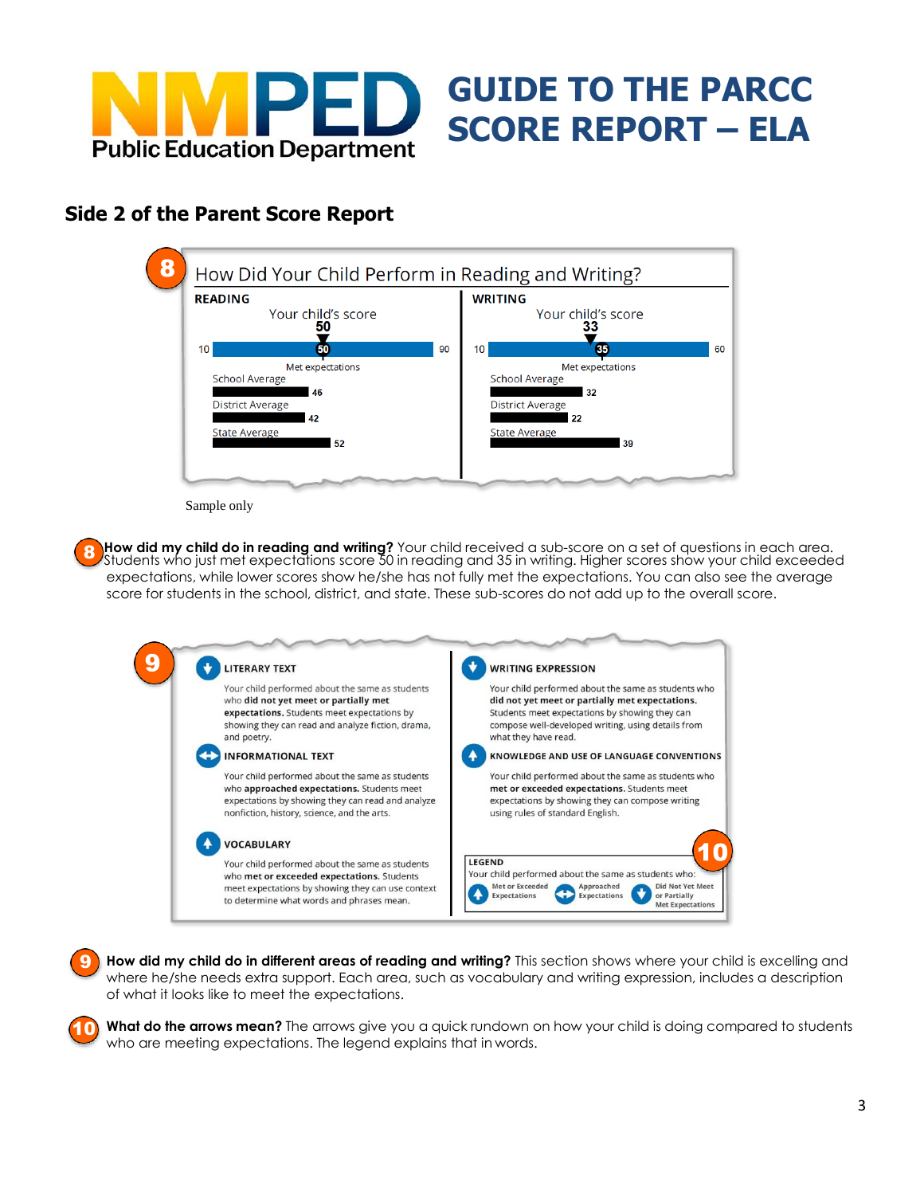

# **Side 2 of the Parent Score Report**



**GUIDE TO THE PARCC** 

Sample only

10

**How did my child do in reading and writing?** Your child received a sub-score on a set of questions in each area. Students who just met expectations score 50 in reading and 35 in writing. Higher scores show your child exceeded expectations, while lower scores show he/she has not fully met the expectations. You can also see the average score for students in the school, district, and state. These sub-scores do not add up to the overall score. 8

| <b>LITERARY TEXT</b>                              | <b>WRITING EXPRESSION</b>                                                      |
|---------------------------------------------------|--------------------------------------------------------------------------------|
| Your child performed about the same as students   | Your child performed about the same as students who                            |
| who did not yet meet or partially met             | did not yet meet or partially met expectations.                                |
| expectations. Students meet expectations by       | Students meet expectations by showing they can                                 |
| showing they can read and analyze fiction, drama, | compose well-developed writing, using details from                             |
| and poetry.                                       | what they have read.                                                           |
| <b>INFORMATIONAL TEXT</b>                         | KNOWLEDGE AND USE OF LANGUAGE CONVENTIONS                                      |
| Your child performed about the same as students   | Your child performed about the same as students who                            |
| who approached expectations. Students meet        | met or exceeded expectations. Students meet                                    |
| expectations by showing they can read and analyze | expectations by showing they can compose writing                               |
| nonfiction, history, science, and the arts.       | using rules of standard English.                                               |
| <b>VOCABULARY</b>                                 |                                                                                |
| Your child performed about the same as students   | <b>LEGEND</b>                                                                  |
| who met or exceeded expectations. Students        | Your child performed about the same as students who:                           |
| meet expectations by showing they can use context | Did Not Yet Meet<br>Met or Exceeded<br>Approached                              |
| to determine what words and phrases mean.         | or Partially<br>Expectations<br><b>Expectations</b><br><b>Met Expectations</b> |

**How did my child do in different areas of reading and writing?** This section shows where your child is excelling and where he/she needs extra support. Each area, such as vocabulary and writing expression, includes a description of what it looks like to meet the expectations. 9

**What do the arrows mean?** The arrows give you a quick rundown on how your child is doing compared to students who are meeting expectations. The legend explains that in words.